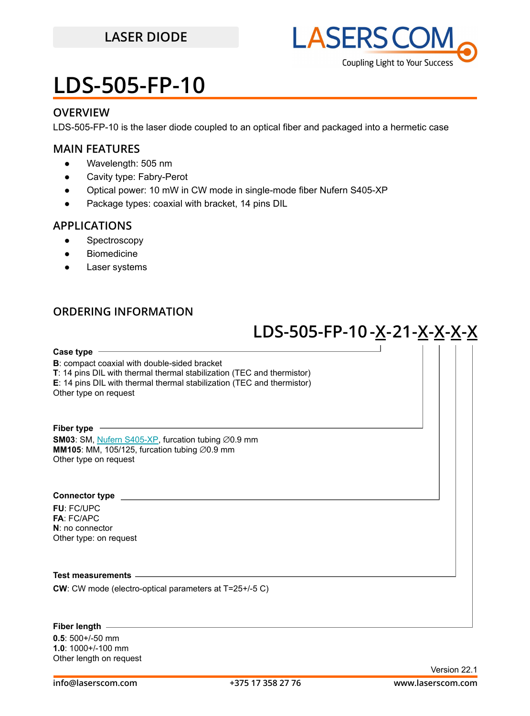## **LASER DIODE**



## **LDS-505-FP-10**

### **OVERVIEW**

LDS-505-FP-10 is the laser diode coupled to an optical fiber and packaged into a hermetic case

### **MAIN FEATURES**

- Wavelength: 505 nm
- Cavity type: Fabry-Perot
- Optical power: 10 mW in CW mode in single-mode fiber Nufern S405-XP
- Package types: coaxial with bracket, 14 pins DIL

### **APPLICATIONS**

- Spectroscopy
- Biomedicine
- **Laser systems**

### **ORDERING INFORMATION**

## **LDS-505-FP-10-X-21-X-X-X-X**

**Case type**

**B**: compact coaxial with double-sided bracket

**T**: 14 pins DIL with thermal thermal stabilization (TEC and thermistor)

**E**: 14 pins DIL with thermal thermal stabilization (TEC and thermistor)

Other type on request

#### **Fiber type**

**SM03**: SM, [Nufern S405-XP](https://drive.google.com/file/d/1VQ4Ue6HdQCdYzJC_cgBEteY-ZzGguMDV/view?usp=sharing), furcation tubing ∅0.9 mm **MM105**: MM, 105/125, furcation tubing ⊘0.9 mm Other type on request

#### **Connector type**

**FU**: FC/UPC **FA**: FC/APC **N**: no connector Other type: on request

#### **Test measurements**

**CW**: CW mode (electro-optical parameters at T=25+/-5 C)

#### **Fiber length**

**0.5**: 500+/-50 mm **1.0**: 1000+/-100 mm Other length on request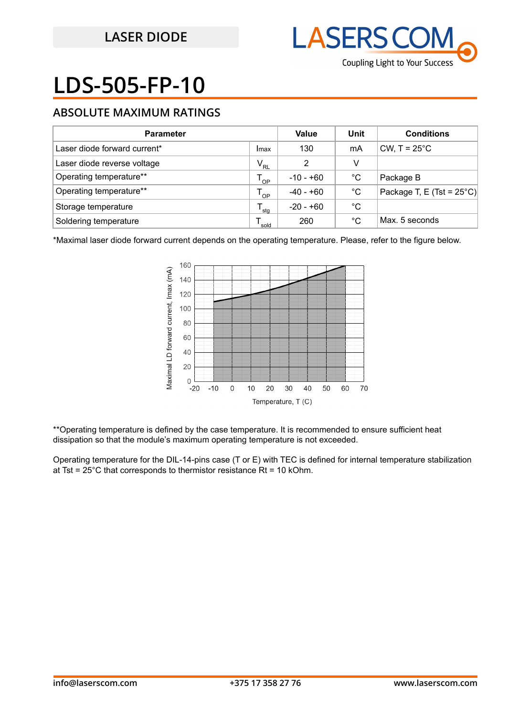

# **LDS-505-FP-10**

## **ABSOLUTE MAXIMUM RATINGS**

| <b>Parameter</b>             |          | Value       | Unit         | <b>Conditions</b>                   |
|------------------------------|----------|-------------|--------------|-------------------------------------|
| Laser diode forward current* | Imax     | 130         | mA           | CW, $T = 25^{\circ}$ C              |
| Laser diode reverse voltage  | $V_{RL}$ | 2           | v            |                                     |
| Operating temperature**      | OP       | $-10 - +60$ | $^{\circ}$ C | Package B                           |
| Operating temperature**      | OP       | -40 - +60   | $^{\circ}$ C | Package T, E (Tst = $25^{\circ}$ C) |
| Storage temperature          | 'stg     | $-20 - +60$ | °C           |                                     |
| Soldering temperature        | sold     | 260         | °C           | Max. 5 seconds                      |

\*Maximal laser diode forward current depends on the operating temperature. Please, refer to the figure below.



\*\*Operating temperature is defined by the case temperature. It is recommended to ensure sufficient heat dissipation so that the module's maximum operating temperature is not exceeded.

Operating temperature for the DIL-14-pins case (T or E) with TEC is defined for internal temperature stabilization at Tst =  $25^{\circ}$ C that corresponds to thermistor resistance Rt = 10 kOhm.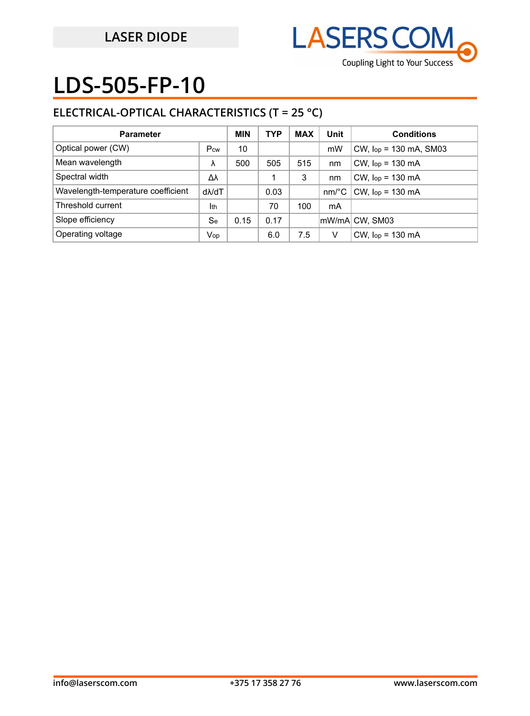

## **LDS-505-FP-10**

## **ELECTRICAL-OPTICAL CHARACTERISTICS (T = 25 °C)**

| <b>Parameter</b>                   |               | <b>MIN</b> | <b>TYP</b> | <b>MAX</b> | Unit     | <b>Conditions</b>           |
|------------------------------------|---------------|------------|------------|------------|----------|-----------------------------|
| Optical power (CW)                 | Pcw           | 10         |            |            | mW       | $CW$ , $lop = 130$ mA, SM03 |
| Mean wavelength                    | λ             | 500        | 505        | 515        | nm       | $CW$ , $lop = 130$ mA       |
| Spectral width                     | Δλ            |            |            | 3          | nm       | $CW$ , $lop = 130$ mA       |
| Wavelength-temperature coefficient | $d\lambda/dT$ |            | 0.03       |            | $nm$ /°C | $CW$ , $lop = 130$ mA       |
| Threshold current                  | Ith           |            | 70         | 100        | mA       |                             |
| Slope efficiency                   | Se            | 0.15       | 0.17       |            |          | mW/mAl CW, SM03             |
| Operating voltage                  | Vop           |            | 6.0        | 7.5        | V        | $CW$ , $lop = 130$ mA       |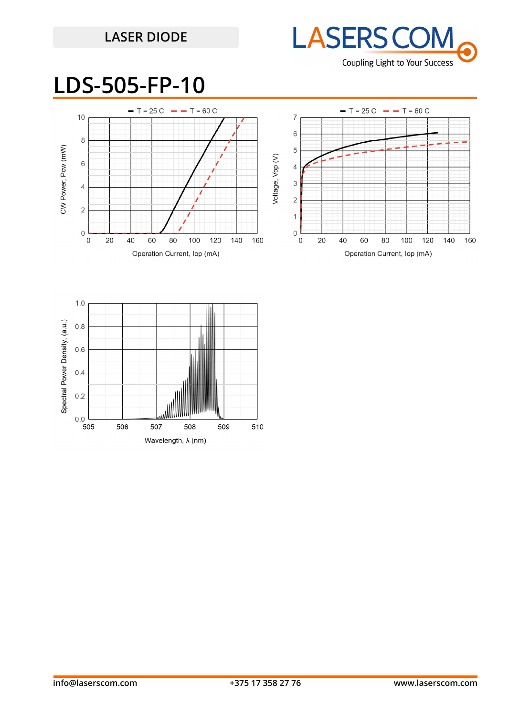## **LASER DIODE**



## **LDS-505-FP-10**



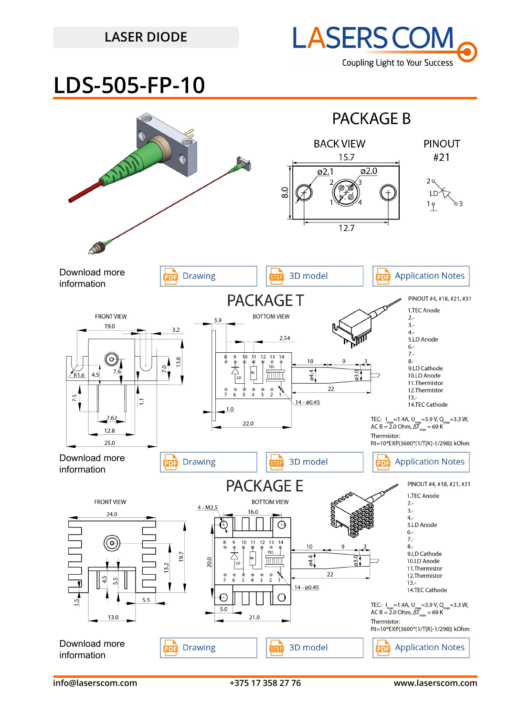## **LASER DIODE**



## **LDS-505-FP-10**